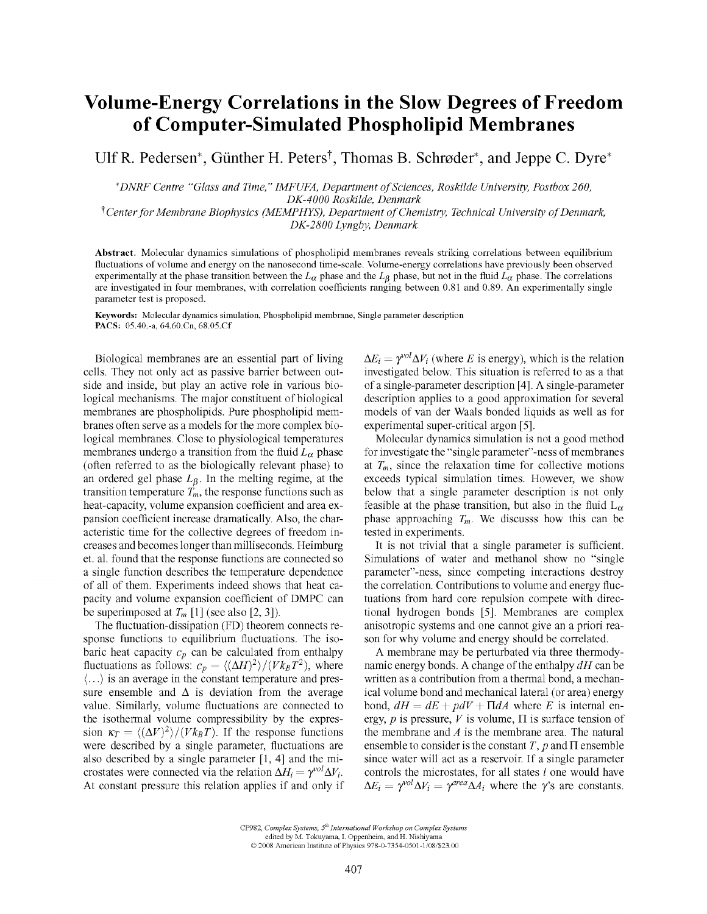## Volume-Energy Correlations in the Slow Degrees of Freedom of Computer-Simulated Phospholipid Membranes

Ulf R. Pedersen\*, Günther H. Peters<sup>†</sup>, Thomas B. Schrøder\*, and Jeppe C. Dyre\*

*\*DNRF Centre "Glass and Time," IMFUFA, Department of Sciences, Roskilde University, Postbox 260, DK-4000 Roskilde, Denmark* 

*^ Center for Membrane Biophysics (MEMPHYS), Department of Chemistry, Technical University of Denmark, DK-2800 Lyngby, Denmark* 

**Abstract.** Molecular dynamics simulations of phospholipid membranes reveals striking correlations between equilibrium fluctuations of volume and energy on the nanosecond time-scale. Volume-energy correlations have previously been observed experimentally at the phase transition between the  $L_\alpha$  phase and the  $L_\beta$  phase, but not in the fluid  $L_\alpha$  phase. The correlations are investigated in four membranes, with correlation coefficients ranging between 0.81 and 0.89. An experimentally single parameter test is proposed.

**Keywords:** Molecular dynamics simulation, Phospholipid membrane, Single parameter description PACS: 05.40.-a, 64.60.Cn, [68.05.Cf](http://68.05.Cf) 

Biological membranes are an essential part of living cells. They not only act as passive barrier between outside and inside, but play an active role in various biological mechanisms. The major constituent of biological membranes are phospholipids. Pure phospholipid membranes often serve as a models for the more complex biological membranes. Close to physiological temperatures membranes undergo a transition from the fluid  $L_{\alpha}$  phase (often referred to as the biologically relevant phase) to an ordered gel phase  $L_{\beta}$ . In the melting regime, at the transition temperature  $\dot{T}_m$ , the response functions such as heat-capacity, volume expansion coefficient and area expansion coefficient increase dramatically. Also, the characteristic time for the collective degrees of freedom increases and becomes longer than milliseconds. Heimburg et. al. found that the response functions are connected so a single function describes the temperature dependence of all of them. Experiments indeed shows that heat capacity and volume expansion coefficient of DMPC can be superimposed at  $T_m$  [1] (see also [2, 3]).

The fluctuation-dissipation (FD) theorem connects response functions to equilibrium fluctuations. The isobaric heat capacity *Cp* can be calculated from enthalpy fluctuations as follows:  $c_p = \langle (\Delta H)^2 \rangle / (V k_B T^2)$ , where (...) is an average in the constant temperature and pressure ensemble and  $\Delta$  is deviation from the average value. Similarly, volume fluctuations are connected to the isothermal volume compressibility by the expression  $\kappa_T = \langle (\Delta V)^2 \rangle / (V k_B T)$ . If the response functions were described by a single parameter, fluctuations are also described by a single parameter [1, 4] and the microstates were connected via the relation  $\Delta H_i = \gamma^{vol} \Delta V_i$ . At constant pressure this relation applies if and only if

 $\Delta E_i = \gamma^{\text{vol}} \Delta V_i$  (where *E* is energy), which is the relation investigated below. This situation is referred to as a that of a single-parameter description [4]. A single-parameter description applies to a good approximation for several models of van der Waals bonded liquids as well as for experimental super-critical argon [5].

Molecular dynamics simulation is not a good method for investigate the "single parameter"-ness of membranes at  $T_m$ , since the relaxation time for collective motions exceeds typical simulation times. However, we show below that a single parameter description is not only feasible at the phase transition, but also in the fluid  $L_{\alpha}$ phase approaching  $T_m$ . We discusss how this can be tested in experiments.

It is not trivial that a single parameter is sufficient. Simulations of water and methanol show no "single parameter"-ness, since competing interactions destroy the correlation. Contributions to volume and energy fluctuations from hard core repulsion compete with directional hydrogen bonds [5]. Membranes are complex anisotropic systems and one cannot give an a priori reason for why volume and energy should be correlated.

A membrane may be perturbated via three thermodynamic energy bonds. A change of the enthalpy *dH* can be written as a contribution from a thermal bond, a mechanical volume bond and mechanical lateral (or area) energy bond,  $dH = dE + pdV + \Pi dA$  where *E* is internal energy,  $p$  is pressure,  $V$  is volume,  $\Pi$  is surface tension of the membrane and *A* is the membrane area. The natural ensemble to consider is the constant  $T$ ,  $p$  and  $\Pi$  ensemble since water will act as a reservoir If a single parameter controls the microstates, for all states  $i$  one would have  $\Delta E_i = \gamma^{vol} \Delta V_i = \gamma^{area} \Delta A_i$  where the  $\gamma$ 's are constants.

CP982, Complex Systems,  $5^{th}$  International Workshop on Complex Systems edited by M. Tokuyama, I. Oppenheim, and H. Nishiyama ©2008 American Institute of Physics 978-0-7354-0501-l/08/\$23.00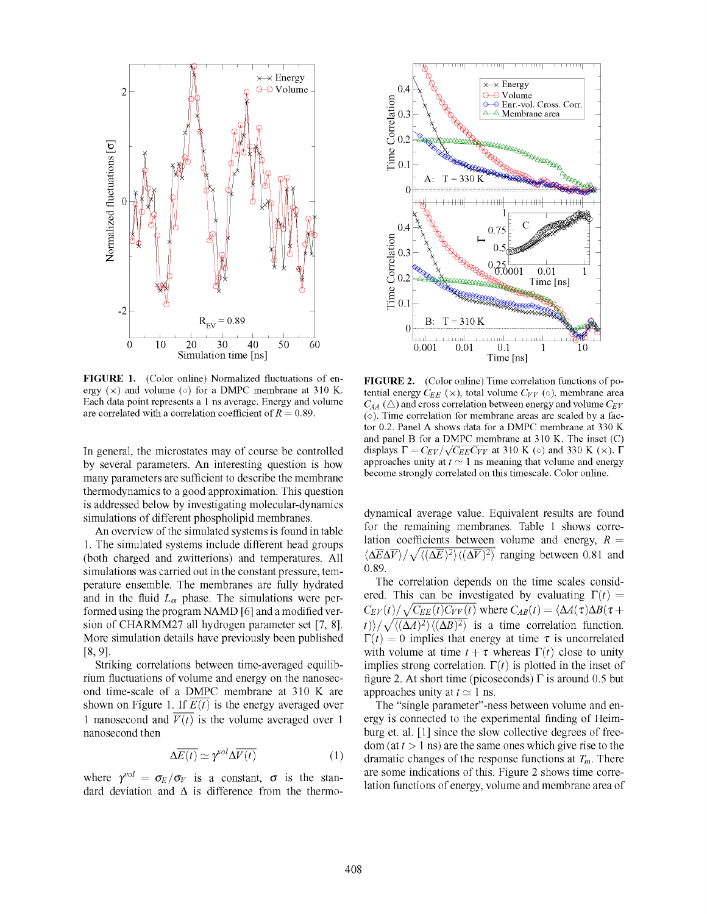

FIGURE 1. (Color online) Normalized fluctuations of energy  $(x)$  and volume ( $\circ$ ) for a DMPC membrane at 310 K. Each data point represents a 1 ns average. Energy and volume are correlated with a correlation coefficient of  $R = 0.89$ .

In general, the microstates may of course be controlled by several parameters. An interesting question is how many parameters are sufficient to describe the membrane thermodynamics to a good approximation. This question is addressed below by investigating molecular-dynamics simulations of different phospholipid membranes.

An overview of the simulated systems is found in table 1. The simulated systems include different head groups (both charged and zwitterions) and temperatures. All simulations was carried out in the constant pressure, temperature ensemble. The membranes are fully hydrated and in the fluid  $L_{\alpha}$  phase. The simulations were performed using the program NAMD [6] and a modified version of CHARMM27 all hydrogen parameter set [7, 8]. More simulation details have previously been published [8,9].

Striking correlations between time-averaged equilibrium fluctuations of volume and energy on the nanosecond time-scale of a DMPC membrane at 310 K are shown on Figure 1. If  $\overline{E(t)}$  is the energy averaged over 1 nanosecond and  $\overline{V(t)}$  is the volume averaged over 1 nanosecond then

$$
\Delta \overline{E(t)} \simeq \gamma^{\nu o l} \Delta \overline{V(t)} \tag{1}
$$

where  $\gamma^{vol} = \sigma_E/\sigma_V$  is a constant,  $\sigma$  is the standard deviation and  $\Delta$  is difference from the thermo-



FIGURE 2. (Color online) Time correlation functions of potential energy  $C_{EE}$  (x), total volume  $C_{VV}$  (o), membrane area  $C_{AA}$  ( $\triangle$ ) and cross correlation between energy and volume  $C_{EV}$  $(\diamond)$ . Time correlation for membrane areas are scaled by a factor 0.2. Panel A shows data for a DMPC membrane at 330 K and panel B for a DMPC membrane at 310 K. The inset (C) displays  $\Gamma = C_{EV}/\sqrt{C_{EE}C_{VV}}$  at 310 K ( $\circ$ ) and 330 K ( $\times$ ).  $\Gamma$ approaches unity at  $t \approx 1$  ns meaning that volume and energy become strongly correlated on this timescale. Color online.

dynamical average value. Equivalent resuhs are found for the remaining membranes. Table 1 shows correlation coefficients between volume and energy,  $R =$  $\langle \Delta \overline{E} \Delta \overline{V} \rangle / \sqrt{\langle (\Delta \overline{E})^2 \rangle \langle (\Delta \overline{V})^2 \rangle}$  ranging between 0.81 and 0.89.

The correlation depends on the time scales considered. This can be investigated by evaluating  $\Gamma(t) =$  $C_{EV}(t)/\sqrt{C_{EE}(t)C_{VV}(t)}$  where  $C_{AB}(t) = \langle \Delta A(\tau) \Delta B(\tau +$  $|t\rangle/\sqrt{\langle(\Delta A)^2\rangle\langle(\Delta B)^2\rangle}$  is a time correlation function.  $\Gamma(t) = 0$  implies that energy at time  $\tau$  is uncorrelated with volume at time  $t + \tau$  whereas  $\Gamma(t)$  close to unity implies strong correlation.  $\Gamma(t)$  is plotted in the inset of figure 2. At short time (picoseconds) *T* is around 0.5 but approaches unity at  $t \approx 1$  ns.

The "single parameter"-ness between volume and energy is connected to the experimental finding of Heimburg et. al. [1] since the slow collective degrees of free $dom (at t > 1$  ns) are the same ones which give rise to the dramatic changes of the response functions at  $T_m$ . There are some indications of this. Figure 2 shows time correlation functions of energy, volume and membrane area of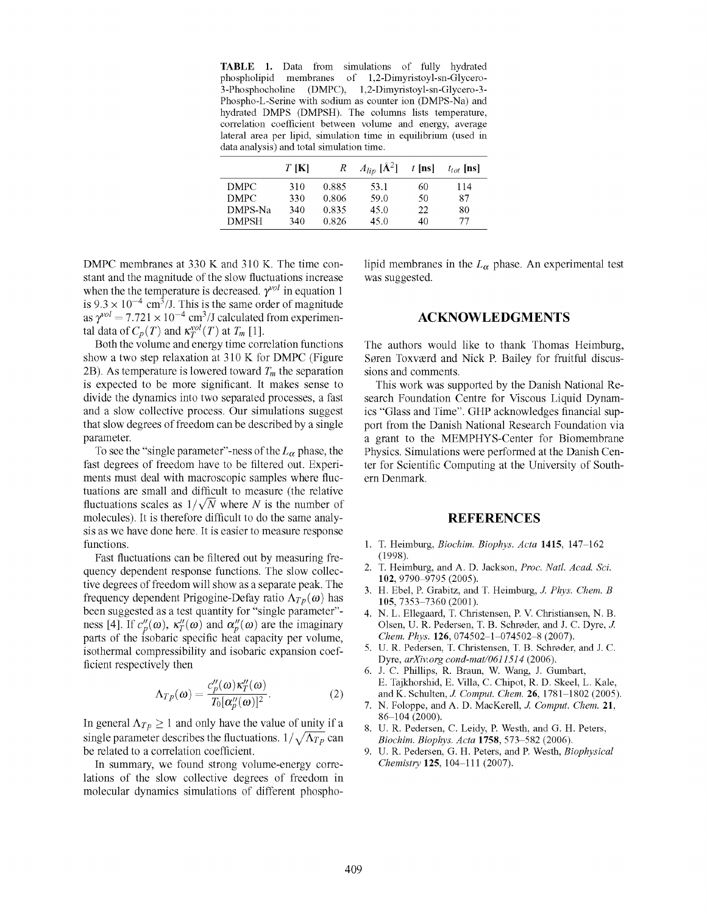**TABLE 1.** Data from simulations of fully hydrated phospholipid membranes of 1,2-Dimyristoyl-sn-Glycero-(DMPC), 1,2-Dimyristoyl-sn-Glycero-3-Phospho-L-Serine with sodium as counter ion (DMPS-Na) and hydrated DMPS (DMPSH). The columns lists temperature, correlation coefficient between volume and energy, average lateral area per lipid, simulation time in equilibrium (used in data analysis) and total simulation time.

|              | $T$ [K] | R     | $A_{lip}$ [Å <sup>2</sup> ] | $t$ [ns] | $t_{tot}$ [ns] |
|--------------|---------|-------|-----------------------------|----------|----------------|
| DMPC.        | 310     | 0.885 | 53.1                        | 60       | 114            |
| DMPC.        | 330     | 0.806 | 59.0                        | 50       | 87             |
| DMPS-Na      | 340     | 0.835 | 45.0                        | 22       | 80             |
| <b>DMPSH</b> | 340     | 0.826 | 45.0                        | 40       | 77             |

DMPC membranes at 330 K and 310 K. The time constant and the magnitude of the slow fluctuations increase when the the temperature is decreased.  $\gamma^{vol}$  in equation 1 is  $9.3 \times 10^{-4}$  cm<sup>3</sup>/J. This is the same order of magnitude as  $\gamma^{vol} = 7.721 \times 10^{-4}$  cm<sup>3</sup>/J calculated from experimental data of  $C_p(T)$  and  $\kappa_T^{vol}(T)$  at  $T_m$  [1].

Both the volume and energy time correlation functions show a two step relaxation at 310 K for DMPC (Figure 2B). As temperature is lowered toward  $T<sub>m</sub>$  the separation is expected to be more significant. It makes sense to divide the dynamics into two separated processes, a fast and a slow collective process. Our simulations suggest that slow degrees of freedom can be described by a single parameter.

To see the "single parameter"-ness of the  $L_{\alpha}$  phase, the fast degrees of freedom have to be filtered out. Experiments must deal with macroscopic samples where fluctuations are small and difficult to measure (the relative fluctuations scales as  $1/\sqrt{N}$  where *N* is the number of molecules). It is therefore difficult to do the same analysis as we have done here. It is easier to measure response functions.

Fast fluctuations can be filtered out by measuring frequency dependent response functions. The slow collective degrees of freedom will show as a separate peak. The frequency dependent Prigogine-Defay ratio  $\Lambda_{T_p}(\omega)$  has been suggested as a test quantity for "single parameter" ness [4]. If  $c_p''(\omega)$ ,  $\kappa_T''(\omega)$  and  $\alpha_p''(\omega)$  are the imaginary parts of the isobaric specific heat capacity per volume, isothermal compressibility and isobaric expansion coefficient respectively then

$$
\Lambda_{Tp}(\omega) = \frac{c_p''(\omega)\kappa_T''(\omega)}{T_0[\alpha_n''(\omega)]^2}.
$$
 (2)

In general  $\Lambda_{Tp} \geq 1$  and only have the value of unity if a single parameter describes the fluctuations.  $1/\sqrt{\Lambda_{Tp}}$  can be related to a correlation coefficient.

In summary, we found strong volume-energy correlations of the slow collective degrees of freedom in molecular dynamics simulations of different phospholipid membranes in the  $L_{\alpha}$  phase. An experimental test was suggested.

## ACKNOWLEDGMENTS

The authors would like to thank Thomas Heimburg, Soren Toxveerd and Nick P. Bailey for fruitful discussions and comments.

This work was supported by the Danish National Research Foundation Centre for Viscous Liquid Dynamics "Glass and Time". GHP acknowledges financial support from the Danish National Research Foundation via a grant to the MEMPHYS-Center for Biomembrane Physics. Simulations were performed at the Danish Center for Scientific Computing at the University of Southern Denmark.

## **REFERENCES**

- T. Heimburg, *Biochim. Biophys. Acta* **1415,** 147-162 (1998).
- $2.$ T. Heimburg, and A. D. Jackson, *Proc. Natl. Acad. Sci.*  **102,** 9790-9795 (2005).
- H. Ebel, P. Grabitz, and T. Heimburg, *J. Phys. Chem. B*  **105,** 7353-7360 (2001).
- N. L. EUegaard, T. Christensen, P. V. Christiansen, N. B. Olsen, U. R. Pedersen, T. B. Schroder, and J. C. Dyre, *J. Chem. Phys.* **126,** 074502-1-074502-8 (2007).
- U. R. Pedersen, T. Christensen, T. B. Schroder, and J. C. Dyre, *[arXiv.org c](http://arXiv.org)ond-mat/0611514* (2006).
- J. C. Phillips, R. Braun, W. Wang, J. Gumbart, E. Tajkhorshid, E. ViUa, C. Chipot, R. D. Skeel, L. Kale, and K. Schulten, *J. Comput. Chem.* **26**, 1781-1802 (2005).
- N. Foloppe, and A. D. MacKerell, *J. Comput. Chem.* **21,**  86-104(2000).
- U. R. Pedersen, C. Leidy, P. Westh, and G. H. Peters, *Biochim. Biophys. Acta* **1758,** 573-582 (2006).
- U. R. Pedersen, G. H. Peters, and P. Westh, *Biophysical Chemistry* **125,** 104-111 (2007).